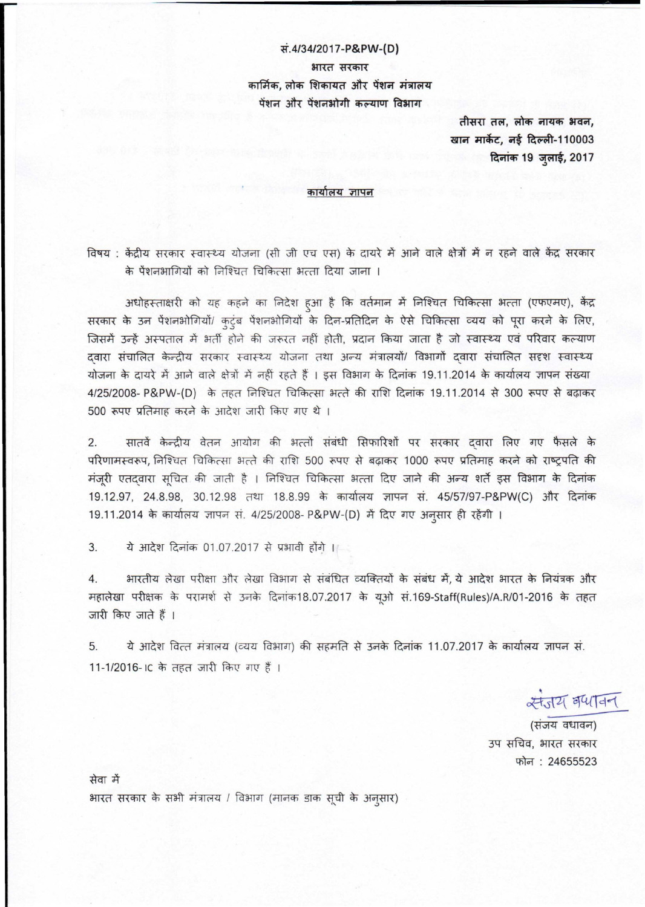## *~.4/34/2017-P&PW-(D)*

भारत सरकार कार्मिक, लोक शिकायत और पेंशन मंत्रालय पेंशन और पेंशनभोगी कल्याण विभाग

> **~ Mr, ~ imfCfi" 3reif,** खान मार्केट, नई दिल्ली-110003 दिनांक 19 जुलाई, 2017

## कार्यालय ज्ञापन

विषय : केंद्रीय सरकार स्वास्थ्य योजना (सी जी एच एस) के दायरे में आने वाले क्षेत्रों में न रहने वाले केंद्र सरकार के पेंशनभागियों को निश्चित चिकित्सा भत्ता दिया जाना ।

.<br>अधोहस्ताक्षरी को यह कहने का निदेश हुआ है कि वर्तमान में निश्चित चिकित्सा भत्ता (एफएमए), वै सरकार के उन पेंशनभोगियों/ कुटुंब पेंशनभोगियों के दिन-प्रतिदिन के ऐसे चिकित्सा व्यय को पूरा करने के लि जिसमें उन्हें अस्पताल में भर्ती होने की जरूरत नहीं होती, प्रदान किया जाता है जो स्वास्थ्य एवं परिवार कल्याण दवारा संचालित केन्द्रीय सरकार स्वास्थ्य योजना तथा अन्य मंत्रालयों/ विभागों दवारा संचालित सदृश स्वास्थ्य योजना के दायरे में आने वाले क्षेत्रों में नहीं रहते हैं । इस विभाग के दिनांक 19.11.2014 के कार्यालय ज्ञापन संख्या 4/25/2008- P&PW-(D) के तहत निश्चित चिकित्सा भत्ते की राशि दिनांक 19.11.2014 से 300 रूपए से बढ़ाकर 500 रूपए प्रतिमाह करने के आदेश जारी किए गए थे ।

2. सातवें केन्द्रीय वेतन आयोग की भत्तों संबंधी सिफारिशों पर सरकार दवारा लिए गए फैसले के परिणामस्वरूप, निश्चित चिकित्सा भरते की राशि 500 रूपए से बढ़ाकर 1000 रूपए प्रतिमाह करने को राष्ट्रपति की <sup>~</sup> l!rlClCll'U <sup>~</sup> cf;/ <sup>~</sup> *t* <sup>I</sup> <sup>~</sup> Rlfcl;,fll <sup>~</sup> f?;l! <sup>~</sup> cf;/ 3io=<:f~8~ fumaT <sup>~</sup> <sup>~</sup> ~ - ~ 19.12.97, 24.8.98, 30.12.98 तथा 18.8.99 के कार्यालय ज्ञापन सं. 45/57/97-P&PW(C) और दिनांक 19.11.2014 के कार्यालय ज्ञापन सं. 4/25/2008- P&PW-(D) में दिए गए अनुसार ही <mark>रहेंगी</mark> ।

3. ये आदेश दिनांक 01.07.2017 से प्रभावी होंगे ।

4. भारतीय लेखा परीक्षा और लेखा विभाग से संबंधित व्यक्तियों के संबंध में, ये आदेश भारत के नियंत्रक और महालेखा परीक्षक के परामर्श से उनके दिनांक18.07.2017 के यूओ सं.169-Staff(Rules)/A.R/01-2016 के तहत जारी किए जाते हैं ।

5. ये आदेश वित्त मंत्रालय (व्यय विभाग) की सहमति से उनके दिनांक 11.07.2017 के कार्यालय ज्ञापन सं. 11-1/2016-IC के तहत जारी किए गए हैं ।

 $\star$   $\star$   $\star$   $\star$   $\star$ न्य वप्स्<br>स्य वधावन)<br>ग्य वधावन)

(संजय वधावन) उप सचिव, भारत सरकार फोन: 24655523

सेवा में आरत सरकार के सभी मंत्रालय / विभाग (मानक डाक सूची के अनुसार)